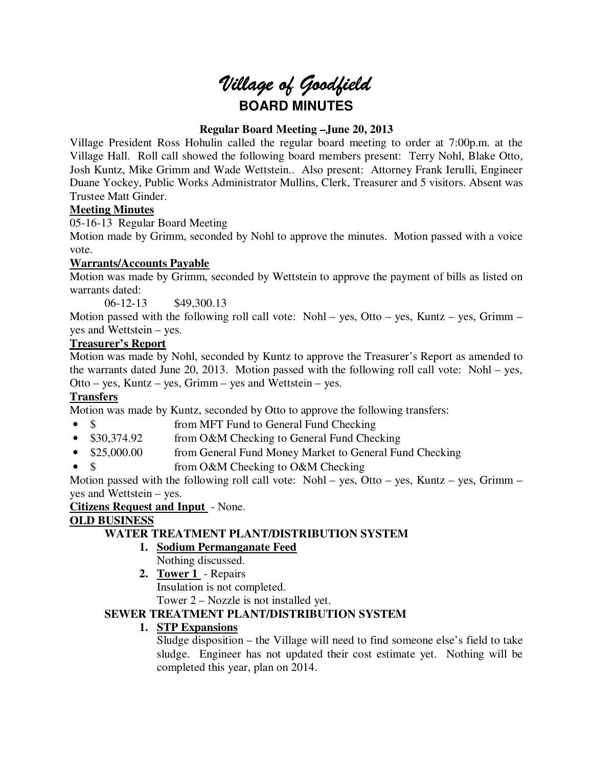# *Village of Goodfield* **BOARD MINUTES**

# **Regular Board Meeting –June 20, 2013**

Village President Ross Hohulin called the regular board meeting to order at 7:00p.m. at the Village Hall. Roll call showed the following board members present: Terry Nohl, Blake Otto, Josh Kuntz, Mike Grimm and Wade Wettstein.. Also present: Attorney Frank Ierulli, Engineer Duane Yockey, Public Works Administrator Mullins, Clerk, Treasurer and 5 visitors. Absent was Trustee Matt Ginder.

## **Meeting Minutes**

05-16-13 Regular Board Meeting

Motion made by Grimm, seconded by Nohl to approve the minutes. Motion passed with a voice vote.

# **Warrants/Accounts Payable**

Motion was made by Grimm, seconded by Wettstein to approve the payment of bills as listed on warrants dated:

06-12-13 \$49,300.13

Motion passed with the following roll call vote: Nohl – yes, Otto – yes, Kuntz – yes, Grimm – yes and Wettstein – yes.

# **Treasurer's Report**

Motion was made by Nohl, seconded by Kuntz to approve the Treasurer's Report as amended to the warrants dated June 20, 2013. Motion passed with the following roll call vote: Nohl – yes, Otto – yes, Kuntz – yes, Grimm – yes and Wettstein – yes.

# **Transfers**

Motion was made by Kuntz, seconded by Otto to approve the following transfers:

- \$ from MFT Fund to General Fund Checking
- \$30,374.92 from O&M Checking to General Fund Checking
- \$25,000.00 from General Fund Money Market to General Fund Checking
- \$ from O&M Checking to O&M Checking

Motion passed with the following roll call vote: Nohl – yes, Otto – yes, Kuntz – yes, Grimm – yes and Wettstein – yes.

**Citizens Request and Input** - None.

# **OLD BUSINESS**

# **WATER TREATMENT PLANT/DISTRIBUTION SYSTEM**

- **1. Sodium Permanganate Feed** 
	- Nothing discussed.
- **2. Tower 1**  Repairs Insulation is not completed.

Tower 2 – Nozzle is not installed yet.

# **SEWER TREATMENT PLANT/DISTRIBUTION SYSTEM**

# **1. STP Expansions**

Sludge disposition – the Village will need to find someone else's field to take sludge. Engineer has not updated their cost estimate yet. Nothing will be completed this year, plan on 2014.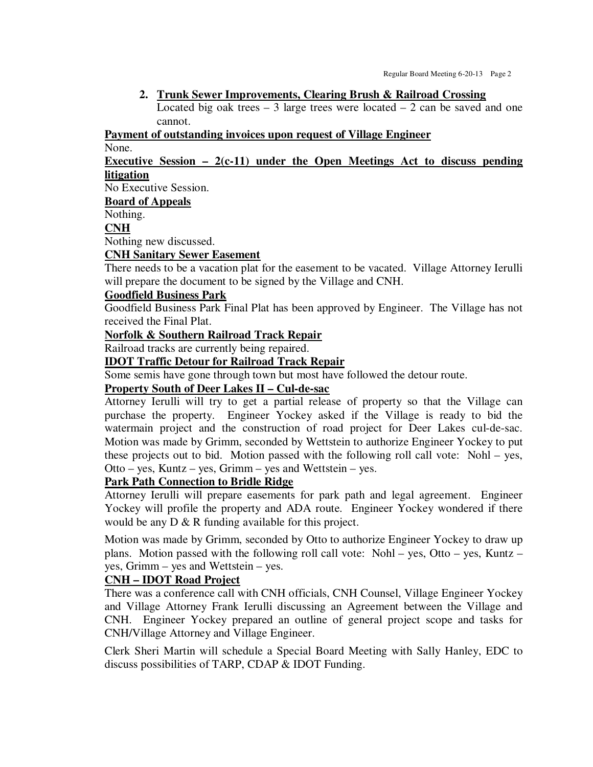#### **2. Trunk Sewer Improvements, Clearing Brush & Railroad Crossing**

Located big oak trees – 3 large trees were located – 2 can be saved and one cannot.

#### **Payment of outstanding invoices upon request of Village Engineer**

None.

## **Executive Session – 2(c-11) under the Open Meetings Act to discuss pending litigation**

No Executive Session.

**Board of Appeals** 

Nothing.

# **CNH**

Nothing new discussed.

#### **CNH Sanitary Sewer Easement**

There needs to be a vacation plat for the easement to be vacated. Village Attorney Ierulli will prepare the document to be signed by the Village and CNH.

#### **Goodfield Business Park**

Goodfield Business Park Final Plat has been approved by Engineer. The Village has not received the Final Plat.

## **Norfolk & Southern Railroad Track Repair**

Railroad tracks are currently being repaired.

## **IDOT Traffic Detour for Railroad Track Repair**

Some semis have gone through town but most have followed the detour route.

#### **Property South of Deer Lakes II – Cul-de-sac**

Attorney Ierulli will try to get a partial release of property so that the Village can purchase the property. Engineer Yockey asked if the Village is ready to bid the watermain project and the construction of road project for Deer Lakes cul-de-sac. Motion was made by Grimm, seconded by Wettstein to authorize Engineer Yockey to put these projects out to bid. Motion passed with the following roll call vote: Nohl – yes, Otto – yes, Kuntz – yes, Grimm – yes and Wettstein – yes.

## **Park Path Connection to Bridle Ridge**

Attorney Ierulli will prepare easements for park path and legal agreement. Engineer Yockey will profile the property and ADA route. Engineer Yockey wondered if there would be any  $D \& R$  funding available for this project.

Motion was made by Grimm, seconded by Otto to authorize Engineer Yockey to draw up plans. Motion passed with the following roll call vote: Nohl – yes, Otto – yes, Kuntz – yes, Grimm – yes and Wettstein – yes.

#### **CNH – IDOT Road Project**

There was a conference call with CNH officials, CNH Counsel, Village Engineer Yockey and Village Attorney Frank Ierulli discussing an Agreement between the Village and CNH. Engineer Yockey prepared an outline of general project scope and tasks for CNH/Village Attorney and Village Engineer.

Clerk Sheri Martin will schedule a Special Board Meeting with Sally Hanley, EDC to discuss possibilities of TARP, CDAP & IDOT Funding.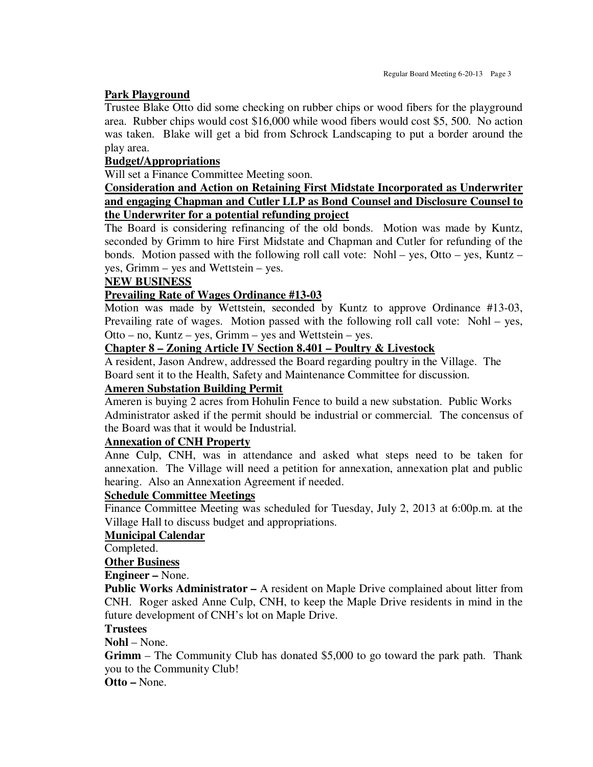#### **Park Playground**

Trustee Blake Otto did some checking on rubber chips or wood fibers for the playground area. Rubber chips would cost \$16,000 while wood fibers would cost \$5, 500. No action was taken. Blake will get a bid from Schrock Landscaping to put a border around the play area.

#### **Budget/Appropriations**

Will set a Finance Committee Meeting soon.

## **Consideration and Action on Retaining First Midstate Incorporated as Underwriter and engaging Chapman and Cutler LLP as Bond Counsel and Disclosure Counsel to the Underwriter for a potential refunding project**

The Board is considering refinancing of the old bonds. Motion was made by Kuntz, seconded by Grimm to hire First Midstate and Chapman and Cutler for refunding of the bonds. Motion passed with the following roll call vote: Nohl – yes, Otto – yes, Kuntz – yes, Grimm – yes and Wettstein – yes.

#### **NEW BUSINESS**

#### **Prevailing Rate of Wages Ordinance #13-03**

Motion was made by Wettstein, seconded by Kuntz to approve Ordinance #13-03, Prevailing rate of wages. Motion passed with the following roll call vote: Nohl – yes, Otto – no, Kuntz – yes, Grimm – yes and Wettstein – yes.

## **Chapter 8 – Zoning Article IV Section 8.401 – Poultry & Livestock**

A resident, Jason Andrew, addressed the Board regarding poultry in the Village. The Board sent it to the Health, Safety and Maintenance Committee for discussion.

#### **Ameren Substation Building Permit**

Ameren is buying 2 acres from Hohulin Fence to build a new substation. Public Works Administrator asked if the permit should be industrial or commercial. The concensus of the Board was that it would be Industrial.

## **Annexation of CNH Property**

Anne Culp, CNH, was in attendance and asked what steps need to be taken for annexation. The Village will need a petition for annexation, annexation plat and public hearing. Also an Annexation Agreement if needed.

#### **Schedule Committee Meetings**

Finance Committee Meeting was scheduled for Tuesday, July 2, 2013 at 6:00p.m. at the Village Hall to discuss budget and appropriations.

#### **Municipal Calendar**

Completed.

## **Other Business**

**Engineer –** None.

**Public Works Administrator –** A resident on Maple Drive complained about litter from CNH. Roger asked Anne Culp, CNH, to keep the Maple Drive residents in mind in the future development of CNH's lot on Maple Drive.

#### **Trustees**

**Nohl** – None.

**Grimm** – The Community Club has donated \$5,000 to go toward the park path. Thank you to the Community Club!

**Otto –** None.